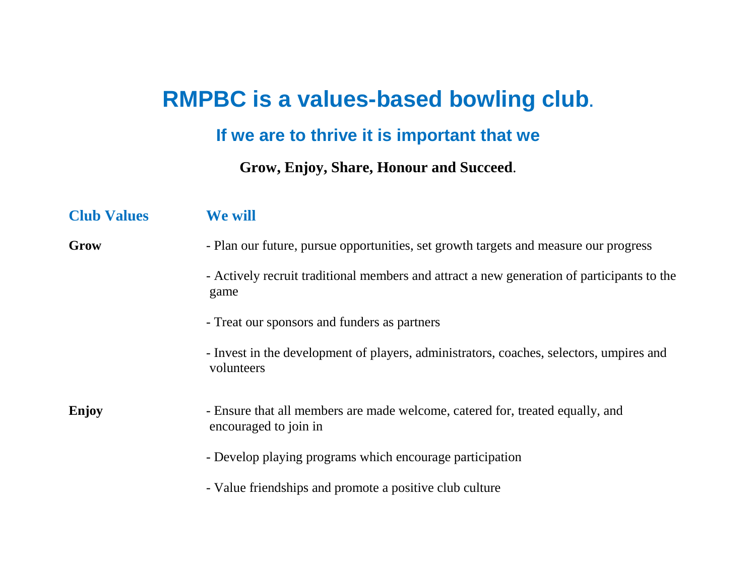## **RMPBC is a values-based bowling club.**

## **If we are to thrive it is important that we**

## **Grow, Enjoy, Share, Honour and Succeed**.

| <b>Club Values</b> | We will                                                                                                |
|--------------------|--------------------------------------------------------------------------------------------------------|
| Grow               | - Plan our future, pursue opportunities, set growth targets and measure our progress                   |
|                    | - Actively recruit traditional members and attract a new generation of participants to the<br>game     |
|                    | - Treat our sponsors and funders as partners                                                           |
|                    | - Invest in the development of players, administrators, coaches, selectors, umpires and<br>volunteers  |
| Enjoy              | - Ensure that all members are made welcome, catered for, treated equally, and<br>encouraged to join in |
|                    | - Develop playing programs which encourage participation                                               |
|                    | - Value friendships and promote a positive club culture                                                |